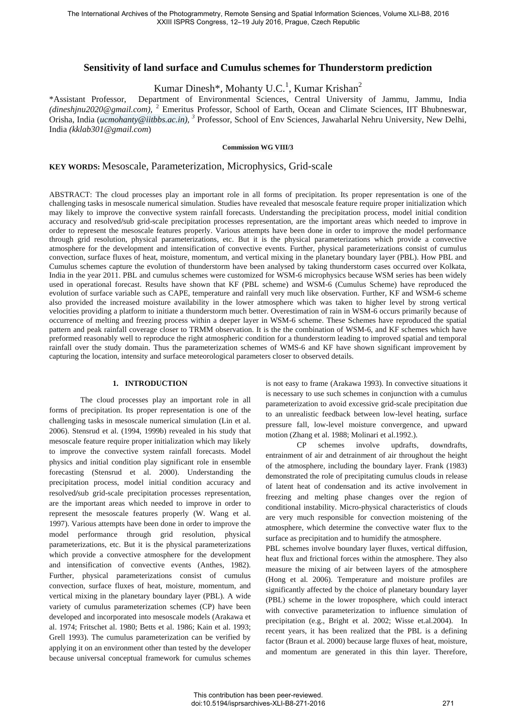# **Sensitivity of land surface and Cumulus schemes for Thunderstorm prediction**

Kumar Dinesh\*, Mohanty U.C.<sup>1</sup>, Kumar Krishan<sup>2</sup>

\*Assistant Professor, Department of Environmental Sciences, Central University of Jammu, Jammu, India *[\(dineshjnu2020@gmail.com\)](mailto:dineshjnu2020@gmail.com),* <sup>2</sup> Emeritus Professor, School of Earth, Ocean and Climate Sciences, IIT Bhubneswar, Orisha, India (*ucmohanty@iitbbs.ac.in), 3* Professor, School of Env Sciences, Jawaharlal Nehru University, New Delhi, India *(kklab301@gmail.com*)

#### **Commission WG VIII/3**

# **KEY WORDS:** Mesoscale, Parameterization, Microphysics, Grid-scale

ABSTRACT: The cloud processes play an important role in all forms of precipitation. Its proper representation is one of the challenging tasks in mesoscale numerical simulation. Studies have revealed that mesoscale feature require proper initialization which may likely to improve the convective system rainfall forecasts. Understanding the precipitation process, model initial condition accuracy and resolved**/**sub grid-scale precipitation processes representation, are the important areas which needed to improve in order to represent the mesoscale features properly. Various attempts have been done in order to improve the model performance through grid resolution, physical parameterizations, etc. But it is the physical parameterizations which provide a convective atmosphere for the development and intensification of convective events. Further, physical parameterizations consist of cumulus convection, surface fluxes of heat, moisture, momentum, and vertical mixing in the planetary boundary layer (PBL). How PBL and Cumulus schemes capture the evolution of thunderstorm have been analysed by taking thunderstorm cases occurred over Kolkata, India in the year 2011. PBL and cumulus schemes were customized for WSM-6 microphysics because WSM series has been widely used in operational forecast. Results have shown that KF (PBL scheme) and WSM-6 (Cumulus Scheme) have reproduced the evolution of surface variable such as CAPE, temperature and rainfall very much like observation. Further, KF and WSM-6 scheme also provided the increased moisture availability in the lower atmosphere which was taken to higher level by strong vertical velocities providing a platform to initiate a thunderstorm much better. Overestimation of rain in WSM-6 occurs primarily because of occurrence of melting and freezing process within a deeper layer in WSM-6 scheme. These Schemes have reproduced the spatial pattern and peak rainfall coverage closer to TRMM observation. It is the the combination of WSM-6, and KF schemes which have preformed reasonably well to reproduce the right atmospheric condition for a thunderstorm leading to improved spatial and temporal rainfall over the study domain. Thus the parameterization schemes of WMS-6 and KF have shown significant improvement by capturing the location, intensity and surface meteorological parameters closer to observed details.

#### **1. INTRODUCTION**

The cloud processes play an important role in all forms of precipitation. Its proper representation is one of the challenging tasks in mesoscale numerical simulation (Lin et al. 2006). Stensrud et al. (1994, 1999b) revealed in his study that mesoscale feature require proper initialization which may likely to improve the convective system rainfall forecasts. Model physics and initial condition play significant role in ensemble forecasting (Stensrud et al. 2000). Understanding the precipitation process, model initial condition accuracy and resolved**/**sub grid-scale precipitation processes representation, are the important areas which needed to improve in order to represent the mesoscale features properly (W. Wang et al. 1997). Various attempts have been done in order to improve the model performance through grid resolution, physical parameterizations, etc. But it is the physical parameterizations which provide a convective atmosphere for the development and intensification of convective events (Anthes, 1982). Further, physical parameterizations consist of cumulus convection, surface fluxes of heat, moisture, momentum, and vertical mixing in the planetary boundary layer (PBL). A wide variety of cumulus parameterization schemes (CP) have been developed and incorporated into mesoscale models (Arakawa et al. 1974; Fritschet al. 1980; Betts et al. 1986; Kain et al. 1993; Grell 1993). The cumulus parameterization can be verified by applying it on an environment other than tested by the developer because universal conceptual framework for cumulus schemes

is not easy to frame (Arakawa 1993). In convective situations it is necessary to use such schemes in conjunction with a cumulus parameterization to avoid excessive grid-scale precipitation due to an unrealistic feedback between low-level heating, surface pressure fall, low-level moisture convergence, and upward motion (Zhang et al. 1988; Molinari et al.1992.).

CP schemes involve updrafts, downdrafts, entrainment of air and detrainment of air throughout the height of the atmosphere, including the boundary layer. Frank (1983) demonstrated the role of precipitating cumulus clouds in release of latent heat of condensation and its active involvement in freezing and melting phase changes over the region of conditional instability. Micro-physical characteristics of clouds are very much responsible for convection moistening of the atmosphere, which determine the convective water flux to the surface as precipitation and to humidify the atmosphere.

PBL schemes involve boundary layer fluxes, vertical diffusion, heat flux and frictional forces within the atmosphere. They also measure the mixing of air between layers of the atmosphere (Hong et al. 2006). Temperature and moisture profiles are significantly affected by the choice of planetary boundary layer (PBL) scheme in the lower troposphere, which could interact with convective parameterization to influence simulation of precipitation (e.g., Bright et al. 2002; Wisse et.al.2004). In recent years, it has been realized that the PBL is a defining factor (Braun et al. 2000) because large fluxes of heat, moisture, and momentum are generated in this thin layer. Therefore,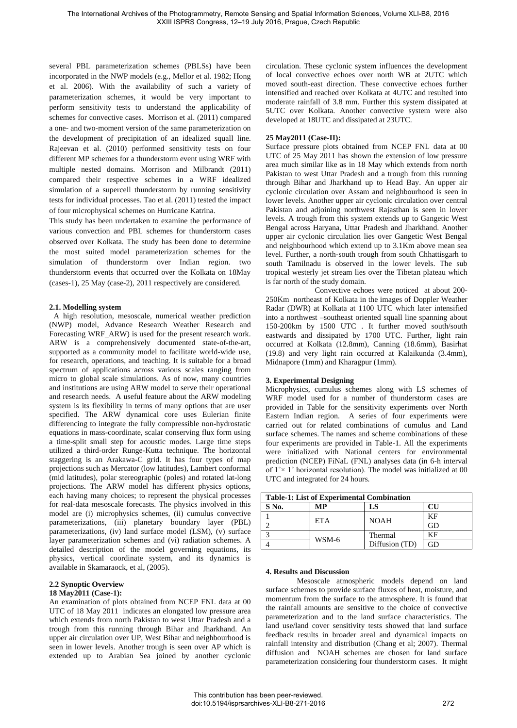several PBL parameterization schemes (PBLSs) have been incorporated in the NWP models (e.g., Mellor et al. 1982; Hong et al. 2006). With the availability of such a variety of parameterization schemes, it would be very important to perform sensitivity tests to understand the applicability of schemes for convective cases. Morrison et al. (2011) compared a one- and two-moment version of the same parameterization on the development of precipitation of an idealized squall line. Rajeevan et al. (2010) performed sensitivity tests on four different MP schemes for a thunderstorm event using WRF with multiple nested domains. Morrison and Milbrandt (2011) compared their respective schemes in a WRF idealized simulation of a supercell thunderstorm by running sensitivity tests for individual processes. Tao et al. (2011) tested the impact of four microphysical schemes on Hurricane Katrina.

This study has been undertaken to examine the performance of various convection and PBL schemes for thunderstorm cases observed over Kolkata. The study has been done to determine the most suited model parameterization schemes for the simulation of thunderstorm over Indian region. two thunderstorm events that occurred over the Kolkata on 18May (cases-1), 25 May (case-2), 2011 respectively are considered.

### **2.1. Modelling system**

A high resolution, mesoscale, numerical weather prediction (NWP) model, Advance Research Weather Research and Forecasting WRF\_ARW) is used for the present research work. ARW is a comprehensively documented state-of-the-art, supported as a community model to facilitate world-wide use, for research, operations, and teaching. It is suitable for a broad spectrum of applications across various scales ranging from micro to global scale simulations. As of now, many countries and institutions are using ARW model to serve their operational and research needs. A useful feature about the ARW modeling system is its flexibility in terms of many options that are user specified. The ARW dynamical core uses Eulerian finite differencing to integrate the fully compressible non-hydrostatic equations in mass-coordinate, scalar conserving flux form using a time-split small step for acoustic modes. Large time steps utilized a third-order Runge-Kutta technique. The horizontal staggering is an Arakawa-C grid. It has four types of map projections such as Mercator (low latitudes), Lambert conformal (mid latitudes), polar stereographic (poles) and rotated lat-long projections. The ARW model has different physics options, each having many choices; to represent the physical processes for real-data mesoscale forecasts. The physics involved in this model are (i) microphysics schemes, (ii) cumulus convective parameterizations, (iii) planetary boundary layer (PBL) parameterizations, (iv) land surface model (LSM), (v) surface layer parameterization schemes and (vi) radiation schemes. A detailed description of the model governing equations, its physics, vertical coordinate system, and its dynamics is available in Skamaraock, et al, (2005).

### **2.2 Synoptic Overview 18 May2011 (Case-1):**

An examination of plots obtained from NCEP FNL data at 00 UTC of 18 May 2011 indicates an elongated low pressure area which extends from north Pakistan to west Uttar Pradesh and a trough from this running through Bihar and Jharkhand. An upper air circulation over UP, West Bihar and neighbourhood is seen in lower levels. Another trough is seen over AP which is extended up to Arabian Sea joined by another cyclonic

circulation. These cyclonic system influences the development of local convective echoes over north WB at 2UTC which moved south-east direction. These convective echoes further intensified and reached over Kolkata at 4UTC and resulted into moderate rainfall of 3.8 mm. Further this system dissipated at 5UTC over Kolkata. Another convective system were also developed at 18UTC and dissipated at 23UTC.

## **25 May2011 (Case-II):**

Surface pressure plots obtained from NCEP FNL data at 00 UTC of 25 May 2011 has shown the extension of low pressure area much similar like as in 18 May which extends from north Pakistan to west Uttar Pradesh and a trough from this running through Bihar and Jharkhand up to Head Bay. An upper air cyclonic circulation over Assam and neighbourhood is seen in lower levels. Another upper air cyclonic circulation over central Pakistan and adjoining northwest Rajasthan is seen in lower levels. A trough from this system extends up to Gangetic West Bengal across Haryana, Uttar Pradesh and Jharkhand. Another upper air cyclonic circulation lies over Gangetic West Bengal and neighbourhood which extend up to 3.1Km above mean sea level. Further, a north-south trough from south Chhattisgarh to south Tamilnadu is observed in the lower levels. The sub tropical westerly jet stream lies over the Tibetan plateau which is far north of the study domain.

Convective echoes were noticed at about 200- 250Km northeast of Kolkata in the images of Doppler Weather Radar (DWR) at Kolkata at 1100 UTC which later intensified into a northwest –southeast oriented squall line spanning about 150-200km by 1500 UTC . It further moved south/south eastwards and dissipated by 1700 UTC. Further, light rain occurred at Kolkata (12.8mm), Canning (18.6mm), Basirhat (19.8) and very light rain occurred at Kalaikunda (3.4mm), Midnapore (1mm) and Kharagpur (1mm).

### **3. Experimental Designing**

Microphysics, cumulus schemes along with LS schemes of WRF model used for a number of thunderstorm cases are provided in Table for the sensitivity experiments over North Eastern Indian region. A series of four experiments were carried out for related combinations of cumulus and Land surface schemes. The names and scheme combinations of these four experiments are provided in Table-1. All the experiments were initialized with National centers for environmental prediction (NCEP) FiNaL (FNL) analyses data (in 6-h interval of  $1^{\circ} \times 1^{\circ}$  horizontal resolution). The model was initialized at 00 UTC and integrated for 24 hours.

| <b>Table-1: List of Experimental Combination</b> |            |                |    |
|--------------------------------------------------|------------|----------------|----|
| S No.                                            | МP         | LS             | CH |
|                                                  | <b>ETA</b> | <b>NOAH</b>    |    |
|                                                  |            |                | FП |
|                                                  | WSM-6      | Thermal        | ΚF |
|                                                  |            | Diffusion (TD) | GD |

### **4. Results and Discussion**

 Mesoscale atmospheric models depend on land surface schemes to provide surface fluxes of heat, moisture, and momentum from the surface to the atmosphere. It is found that the rainfall amounts are sensitive to the choice of convective parameterization and to the land surface characteristics. The land use/land cover sensitivity tests showed that land surface feedback results in broader areal and dynamical impacts on rainfall intensity and distribution (Chang et al; 2007). Thermal diffusion and NOAH schemes are chosen for land surface parameterization considering four thunderstorm cases. It might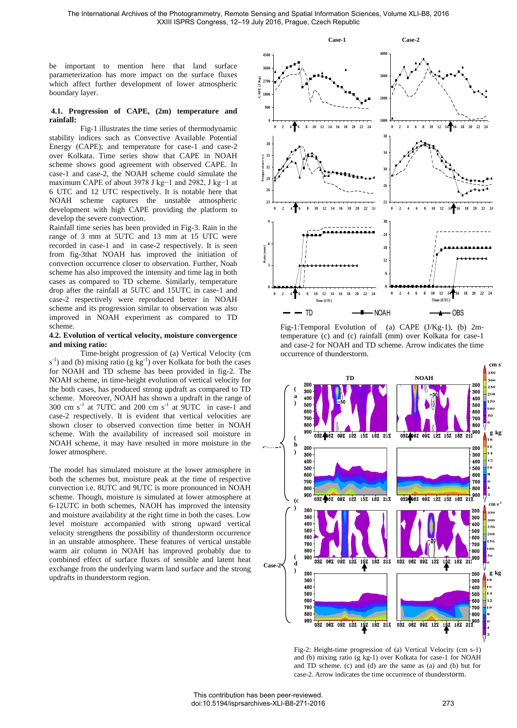be important to mention here that land surface parameterization has more impact on the surface fluxes which affect further development of lower atmospheric boundary layer.

#### **4.1. Progression of CAPE, (2m) temperature and rainfall:**

 Fig-1 illustrates the time series of thermodynamic stability indices such as Convective Available Potential Energy (CAPE); and temperature for case-1 and case-2 over Kolkata. Time series show that CAPE in NOAH scheme shows good agreement with observed CAPE. In case-1 and case-2, the NOAH scheme could simulate the maximum CAPE of about 3978 J kg−1 and 2982, J kg−1 at 6 UTC and 12 UTC respectively. It is notable here that NOAH scheme captures the unstable atmospheric development with high CAPE providing the platform to develop the severe convection.

Rainfall time series has been provided in Fig-3. Rain in the range of 3 mm at 5UTC and 13 mm at 15 UTC were recorded in case-1 and in case-2 respectively. It is seen from fig-3that NOAH has improved the initiation of convection occurrence closer to observation. Further, Noah **30** scheme has also improved the intensity and time lag in both cases as compared to TD scheme. Similarly, temperature drop after the rainfall at 5UTC and 15UTC in case-1 and case-2 respectively were reproduced better in NOAH scheme and its progression similar to observation was also improved in NOAH experiment as compared to TD scheme.

#### **4.2. Evolution of vertical velocity, moisture convergence and mixing ratio:**

and mixing **1 aud.**<br>Time-height progression of (a) Vertical Velocity (cm  $(s<sup>-1</sup>)$  and (b) mixing ratio (g kg<sup>-1</sup>) over Kolkata for both the cases for NOAH and TD scheme has been provided in fig-2. The NOAH scheme, in time-height evolution of vertical velocity for the both cases, has produced strong updraft as compared to TD **12** scheme. Moreover, NOAH has shown a updraft in the range of 300 cm  $s^{-1}$  at 7UTC and 200 cm  $s^{-1}$  at 9UTC in case-1 and case-2 respectively. It is evident that vertical velocities are shown closer to observed convection time better in NOAH scheme. With the availability of increased soil moisture in **6** NOAH scheme, it may have resulted in more moisture in the lower atmosphere. **Rain**<br> **R**in (mm)<br> **Rain**<br> **Rin**<br> **Rin** 

The model has simulated moisture at the lower atmosphere in In the model has simulated moisture at the lower atmosphere in both the schemes but, moisture peak at the time of respective convection i.e. 8UTC and 9UTC is more pronounced in NOAH scheme. Though, moisture is simulated at lower atmosphere at 6-12UTC in both schemes, NAOH has improved the intensity and moisture availability at the right time in both the cases. Low level moisture accompanied with strong upward vertical velocity strengthens the possibility of thunderstorm occurrence in an unstable atmosphere. These features of vertical unstable warm air column in NOAH has improved probably due to combined effect of surface fluxes of sensible and latent heat exchange from the underlying warm land surface and the strong updrafts in thunderstorm region.



Fig-1:Temporal Evolution of (a) CAPE (J/Kg-1), (b) 2mtemperature (c) and (c) rainfall (mm) over Kolkata for case-1 and case-2 for NOAH and TD scheme. Arrow indicates the time occurrence of thunderstorm.



Fig-2: Height-time progression of (a) Vertical Velocity (cm s-1) and (b) mixing ratio (g kg-1) over Kolkata for case-1 for NOAH and TD scheme. (c) and (d) are the same as (a) and (b) but for case-2. Arrow indicates the time occurrence of thunderstorm.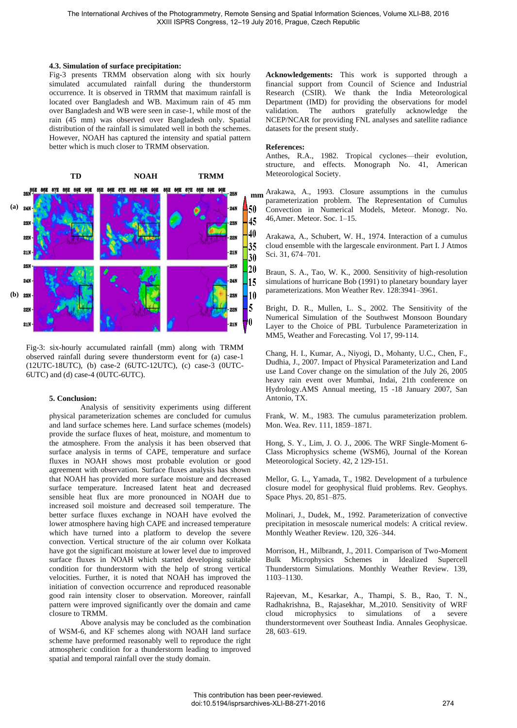#### **4.3. Simulation of surface precipitation:**

Fig-3 presents TRMM observation along with six hourly simulated accumulated rainfall during the thunderstorm occurrence. It is observed in TRMM that maximum rainfall is located over Bangladesh and WB. Maximum rain of 45 mm over Bangladesh and WB were seen in case-1, while most of the rain (45 mm) was observed over Bangladesh only. Spatial distribution of the rainfall is simulated well in both the schemes. However, NOAH has captured the intensity and spatial pattern better which is much closer to TRMM observation.



Fig-3: six-hourly accumulated rainfall (mm) along with TRMM observed rainfall during severe thunderstorm event for (a) case-1 (12UTC-18UTC), (b) case-2 (6UTC-12UTC), (c) case-3 (0UTC-6UTC) and (d) case-4 (0UTC-6UTC).

#### **5. Conclusion:**

 Analysis of sensitivity experiments using different physical parameterization schemes are concluded for cumulus and land surface schemes here. Land surface schemes (models) provide the surface fluxes of heat, moisture, and momentum to the atmosphere. From the analysis it has been observed that surface analysis in terms of CAPE, temperature and surface fluxes in NOAH shows most probable evolution or good agreement with observation. Surface fluxes analysis has shown that NOAH has provided more surface moisture and decreased surface temperature. Increased latent heat and decreased sensible heat flux are more pronounced in NOAH due to increased soil moisture and decreased soil temperature. The better surface fluxes exchange in NOAH have evolved the lower atmosphere having high CAPE and increased temperature which have turned into a platform to develop the severe convection. Vertical structure of the air column over Kolkata have got the significant moisture at lower level due to improved surface fluxes in NOAH which started developing suitable condition for thunderstorm with the help of strong vertical velocities. Further, it is noted that NOAH has improved the initiation of convection occurrence and reproduced reasonable good rain intensity closer to observation. Moreover, rainfall pattern were improved significantly over the domain and came closure to TRMM.

 Above analysis may be concluded as the combination of WSM-6, and KF schemes along with NOAH land surface scheme have preformed reasonably well to reproduce the right atmospheric condition for a thunderstorm leading to improved spatial and temporal rainfall over the study domain.

**Acknowledgements:** This work is supported through a financial support from Council of Science and Industrial Research (CSIR). We thank the India Meteorological Department (IMD) for providing the observations for model validation. The authors gratefully acknowledge the NCEP/NCAR for providing FNL analyses and satellite radiance datasets for the present study.

#### **References:**

Anthes, R.A., 1982. Tropical cyclones—their evolution, structure, and effects. Monograph No. 41, American Meteorological Society.

Arakawa, A., 1993. Closure assumptions in the cumulus **mm** parameterization problem. The Representation of Cumulus Convection in Numerical Models, Meteor. Monogr. No. 46,Amer. Meteor. Soc. 1–15.

Arakawa, A., Schubert, W. H., 1974. Interaction of a cumulus cloud ensemble with the largescale environment. Part I. J Atmos Sci. 31, 674–701.

Braun, S. A., Tao, W. K., 2000. Sensitivity of high-resolution simulations of hurricane Bob (1991) to planetary boundary layer parameterizations. Mon Weather Rev. 128:3941–3961.

Bright, D. R., Mullen, L. S., 2002. The Sensitivity of the Numerical Simulation of the Southwest Monsoon Boundary Layer to the Choice of PBL Turbulence Parameterization in MM5, Weather and Forecasting. Vol 17, 99-114.

Chang, H. I., Kumar, A., Niyogi, D., Mohanty, U.C., Chen, F., Dudhia, J., 2007. Impact of Physical Parameterization and Land use Land Cover change on the simulation of the July 26, 2005 heavy rain event over Mumbai, Indai, 21th conference on Hydrology.AMS Annual meeting, 15 -18 January 2007, San Antonio, TX.

Frank, W. M., 1983. The cumulus parameterization problem. Mon. Wea. Rev. 111, 1859–1871.

Hong, S. Y., Lim, J. O. J., 2006. The WRF Single-Moment 6- Class Microphysics scheme (WSM6), Journal of the Korean Meteorological Society. 42, 2 129-151.

Mellor, G. L., Yamada, T., 1982. Development of a turbulence closure model for geophysical fluid problems. Rev. Geophys. Space Phys. 20, 851–875.

Molinari, J., Dudek, M., 1992. Parameterization of convective precipitation in mesoscale numerical models: A critical review. Monthly Weather Review. 120, 326–344.

Morrison, H., Milbrandt, J., 2011. Comparison of Two-Moment Bulk Microphysics Schemes in Idealized Supercell Thunderstorm Simulations. Monthly Weather Review. 139, 1103–1130.

Rajeevan, M., Kesarkar, A., Thampi, S. B., Rao, T. N., Radhakrishna, B., Rajasekhar, M.,2010. Sensitivity of WRF cloud microphysics to simulations of a severe thunderstormevent over Southeast India. Annales Geophysicae. 28, 603–619.